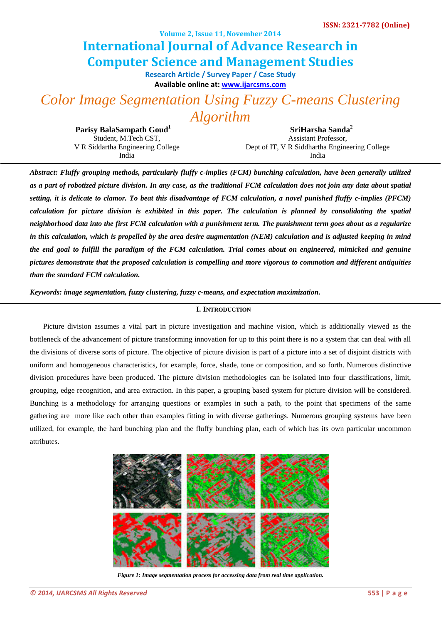**Volume 2, Issue 11, November 2014**

# **Computer Science and Management Studies International Journal of Advance Research in**

**Research Article / Survey Paper / Case St[ud](http://www.ijarcsms.com/)y Available online at: [www.ijarcsms.com](http://www.ijarcsms.com/)**

*Color Image Segmentation Using Fuzzy C-means Clustering* 

*Algorithm* 

**Parisy BalaSampath Goud<sup>1</sup>** Student, M.Tech CST, V R Siddartha Engineering College India

**SriHarsha Sanda<sup>2</sup>** Assistant Professor, Dept of IT, V R Siddhartha Engineering College India

*Abstract: Fluffy grouping methods, particularly fluffy c-implies (FCM) bunching calculation, have been generally utilized as a part of robotized picture division. In any case, as the traditional FCM calculation does not join any data about spatial setting, it is delicate to clamor. To beat this disadvantage of FCM calculation, a novel punished fluffy c-implies (PFCM) calculation for picture division is exhibited in this paper. The calculation is planned by consolidating the spatial neighborhood data into the first FCM calculation with a punishment term. The punishment term goes about as a regularize in this calculation, which is propelled by the area desire augmentation (NEM) calculation and is adjusted keeping in mind the end goal to fulfill the paradigm of the FCM calculation. Trial comes about on engineered, mimicked and genuine pictures demonstrate that the proposed calculation is compelling and more vigorous to commotion and different antiquities than the standard FCM calculation.* 

*Keywords: image segmentation, fuzzy clustering, fuzzy c-means, and expectation maximization.* 

# **I. INTRODUCTION**

Picture division assumes a vital part in picture investigation and machine vision, which is additionally viewed as the bottleneck of the advancement of picture transforming innovation for up to this point there is no a system that can deal with all the divisions of diverse sorts of picture. The objective of picture division is part of a picture into a set of disjoint districts with uniform and homogeneous characteristics, for example, force, shade, tone or composition, and so forth. Numerous distinctive division procedures have been produced. The picture division methodologies can be isolated into four classifications, limit, grouping, edge recognition, and area extraction. In this paper, a grouping based system for picture division will be considered. Bunching is a methodology for arranging questions or examples in such a path, to the point that specimens of the same gathering are more like each other than examples fitting in with diverse gatherings. Numerous grouping systems have been utilized, for example, the hard bunching plan and the fluffy bunching plan, each of which has its own particular uncommon attributes.



*Figure 1: Image segmentation process for accessing data from real time application.*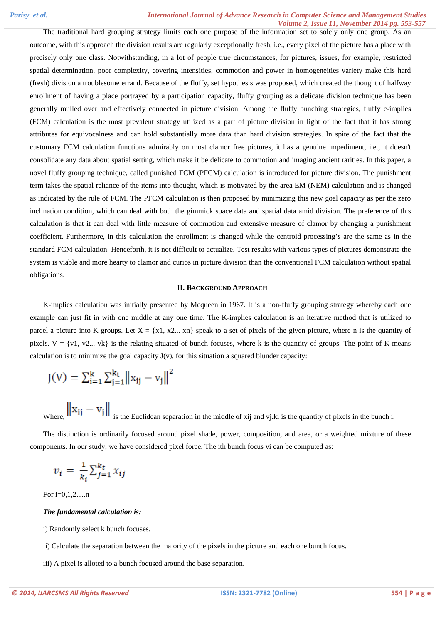The traditional hard grouping strategy limits each one purpose of the information set to solely only one group. As an outcome, with this approach the division results are regularly exceptionally fresh, i.e., every pixel of the picture has a place with precisely only one class. Notwithstanding, in a lot of people true circumstances, for pictures, issues, for example, restricted spatial determination, poor complexity, covering intensities, commotion and power in homogeneities variety make this hard (fresh) division a troublesome errand. Because of the fluffy, set hypothesis was proposed, which created the thought of halfway enrollment of having a place portrayed by a participation capacity, fluffy grouping as a delicate division technique has been generally mulled over and effectively connected in picture division. Among the fluffy bunching strategies, fluffy c-implies (FCM) calculation is the most prevalent strategy utilized as a part of picture division in light of the fact that it has strong attributes for equivocalness and can hold substantially more data than hard division strategies. In spite of the fact that the customary FCM calculation functions admirably on most clamor free pictures, it has a genuine impediment, i.e., it doesn't consolidate any data about spatial setting, which make it be delicate to commotion and imaging ancient rarities. In this paper, a novel fluffy grouping technique, called punished FCM (PFCM) calculation is introduced for picture division. The punishment term takes the spatial reliance of the items into thought, which is motivated by the area EM (NEM) calculation and is changed as indicated by the rule of FCM. The PFCM calculation is then proposed by minimizing this new goal capacity as per the zero inclination condition, which can deal with both the gimmick space data and spatial data amid division. The preference of this calculation is that it can deal with little measure of commotion and extensive measure of clamor by changing a punishment coefficient. Furthermore, in this calculation the enrollment is changed while the centroid processing's are the same as in the standard FCM calculation. Henceforth, it is not difficult to actualize. Test results with various types of pictures demonstrate the system is viable and more hearty to clamor and curios in picture division than the conventional FCM calculation without spatial obligations.

# **II. BACKGROUND APPROACH**

K-implies calculation was initially presented by Mcqueen in 1967. It is a non-fluffy grouping strategy whereby each one example can just fit in with one middle at any one time. The K-implies calculation is an iterative method that is utilized to parcel a picture into K groups. Let  $X = \{x1, x2, \ldots xn\}$  speak to a set of pixels of the given picture, where n is the quantity of pixels.  $V = \{v1, v2...$  vk} is the relating situated of bunch focuses, where k is the quantity of groups. The point of K-means calculation is to minimize the goal capacity  $J(y)$ , for this situation a squared blunder capacity:

$$
J(V) = \sum_{i=1}^{k} \sum_{j=1}^{k_t} ||x_{ij} - v_j||^2
$$

Where,  $\left\| x_{ij} - v_j \right\|$  is the Euclidean separation in the middle of xij and vj.ki is the quantity of pixels in the bunch i.

The distinction is ordinarily focused around pixel shade, power, composition, and area, or a weighted mixture of these components. In our study, we have considered pixel force. The ith bunch focus vi can be computed as:

$$
v_i = \frac{1}{k_i} \sum_{j=1}^{k_t} x_{ij}
$$

For  $i=0,1,2,...n$ 

#### *The fundamental calculation is:*

i) Randomly select k bunch focuses.

ii) Calculate the separation between the majority of the pixels in the picture and each one bunch focus.

iii) A pixel is alloted to a bunch focused around the base separation.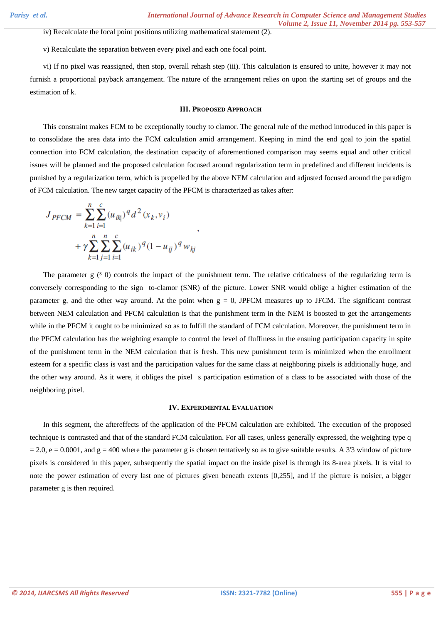iv) Recalculate the focal point positions utilizing mathematical statement (2).

v) Recalculate the separation between every pixel and each one focal point.

vi) If no pixel was reassigned, then stop, overall rehash step (iii). This calculation is ensured to unite, however it may not furnish a proportional payback arrangement. The nature of the arrangement relies on upon the starting set of groups and the estimation of k.

# **III. PROPOSED APPROACH**

This constraint makes FCM to be exceptionally touchy to clamor. The general rule of the method introduced in this paper is to consolidate the area data into the FCM calculation amid arrangement. Keeping in mind the end goal to join the spatial connection into FCM calculation, the destination capacity of aforementioned comparison may seems equal and other critical issues will be planned and the proposed calculation focused around regularization term in predefined and different incidents is punished by a regularization term, which is propelled by the above NEM calculation and adjusted focused around the paradigm of FCM calculation. The new target capacity of the PFCM is characterized as takes after:

$$
J_{PFCM} = \sum_{k=1}^{n} \sum_{i=1}^{c} (u_{ik})^q d^2(x_k, v_i)
$$
  
+  $\gamma \sum_{k=1}^{n} \sum_{j=1}^{n} \sum_{i=1}^{c} (u_{ik})^q (1 - u_{ij})^q w_{kj}$ 

The parameter  $g(3\ 0)$  controls the impact of the punishment term. The relative criticalness of the regularizing term is conversely corresponding to the sign to-clamor (SNR) of the picture. Lower SNR would oblige a higher estimation of the parameter g, and the other way around. At the point when  $g = 0$ , JPFCM measures up to JFCM. The significant contrast between NEM calculation and PFCM calculation is that the punishment term in the NEM is boosted to get the arrangements while in the PFCM it ought to be minimized so as to fulfill the standard of FCM calculation. Moreover, the punishment term in the PFCM calculation has the weighting example to control the level of fluffiness in the ensuing participation capacity in spite of the punishment term in the NEM calculation that is fresh. This new punishment term is minimized when the enrollment esteem for a specific class is vast and the participation values for the same class at neighboring pixels is additionally huge, and the other way around. As it were, it obliges the pixel s participation estimation of a class to be associated with those of the neighboring pixel.

#### **IV. EXPERIMENTAL EVALUATION**

In this segment, the aftereffects of the application of the PFCM calculation are exhibited. The execution of the proposed technique is contrasted and that of the standard FCM calculation. For all cases, unless generally expressed, the weighting type q  $= 2.0$ ,  $e = 0.0001$ , and  $g = 400$  where the parameter g is chosen tentatively so as to give suitable results. A 3'3 window of picture pixels is considered in this paper, subsequently the spatial impact on the inside pixel is through its 8-area pixels. It is vital to note the power estimation of every last one of pictures given beneath extents [0,255], and if the picture is noisier, a bigger parameter g is then required.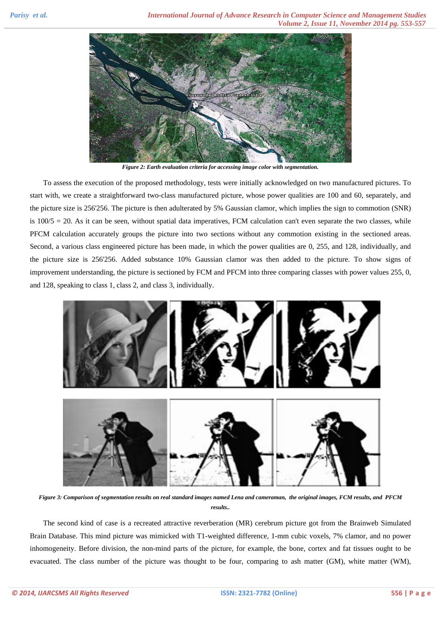

*Figure 2: Earth evaluation criteria for accessing image color with segmentation.* 

To assess the execution of the proposed methodology, tests were initially acknowledged on two manufactured pictures. To start with, we create a straightforward two-class manufactured picture, whose power qualities are 100 and 60, separately, and the picture size is 256'256. The picture is then adulterated by 5% Gaussian clamor, which implies the sign to commotion (SNR) is  $100/5 = 20$ . As it can be seen, without spatial data imperatives, FCM calculation can't even separate the two classes, while PFCM calculation accurately groups the picture into two sections without any commotion existing in the sectioned areas. Second, a various class engineered picture has been made, in which the power qualities are 0, 255, and 128, individually, and the picture size is 256'256. Added substance 10% Gaussian clamor was then added to the picture. To show signs of improvement understanding, the picture is sectioned by FCM and PFCM into three comparing classes with power values 255, 0, and 128, speaking to class 1, class 2, and class 3, individually.



*Figure 3: Comparison of segmentation results on real standard images named Lena and cameraman, the original images, FCM results, and PFCM results..* 

The second kind of case is a recreated attractive reverberation (MR) cerebrum picture got from the Brainweb Simulated Brain Database. This mind picture was mimicked with T1-weighted difference, 1-mm cubic voxels, 7% clamor, and no power inhomogeneity. Before division, the non-mind parts of the picture, for example, the bone, cortex and fat tissues ought to be evacuated. The class number of the picture was thought to be four, comparing to ash matter (GM), white matter (WM),